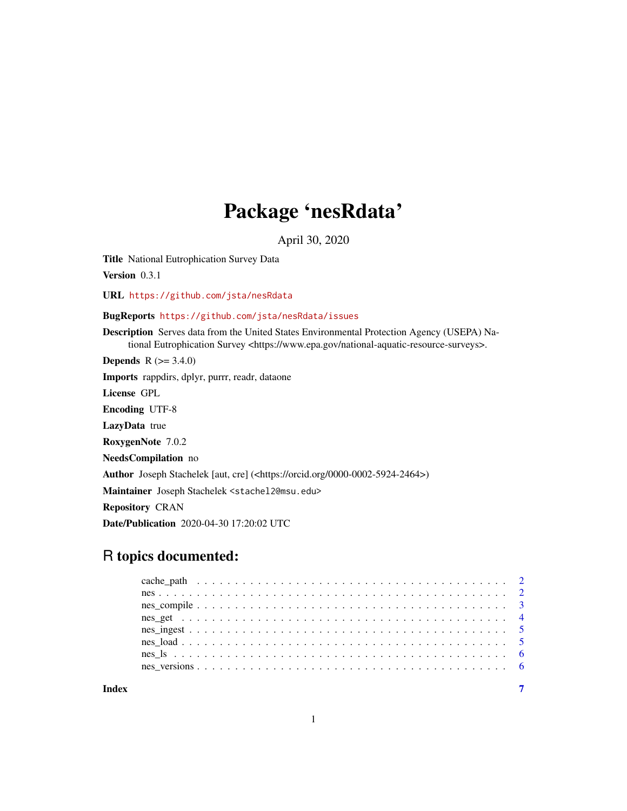## Package 'nesRdata'

April 30, 2020

<span id="page-0-0"></span>Title National Eutrophication Survey Data

Version 0.3.1

URL <https://github.com/jsta/nesRdata>

BugReports <https://github.com/jsta/nesRdata/issues>

Description Serves data from the United States Environmental Protection Agency (USEPA) National Eutrophication Survey <https://www.epa.gov/national-aquatic-resource-surveys>.

**Depends** R  $(>= 3.4.0)$ 

Imports rappdirs, dplyr, purrr, readr, dataone

License GPL

Encoding UTF-8

LazyData true

RoxygenNote 7.0.2

NeedsCompilation no

Author Joseph Stachelek [aut, cre] (<https://orcid.org/0000-0002-5924-2464>)

Maintainer Joseph Stachelek <stachel2@msu.edu>

Repository CRAN

Date/Publication 2020-04-30 17:20:02 UTC

### R topics documented:

**Index** [7](#page-6-0)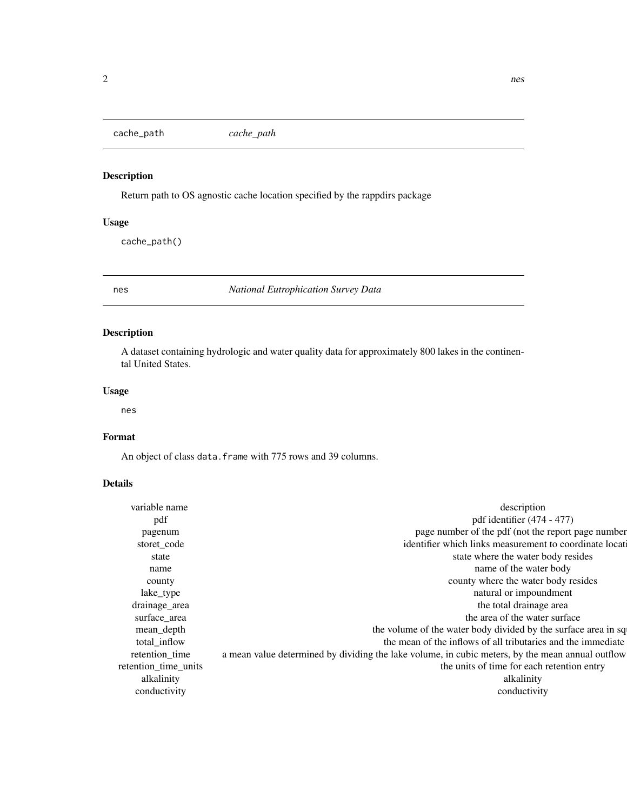<span id="page-1-0"></span>cache\_path *cache\_path*

#### Description

Return path to OS agnostic cache location specified by the rappdirs package

#### Usage

cache\_path()

nes *National Eutrophication Survey Data*

#### Description

A dataset containing hydrologic and water quality data for approximately 800 lakes in the continental United States.

#### Usage

nes

#### Format

An object of class data. frame with 775 rows and 39 columns.

#### Details

| variable name        | description                                                                                      |
|----------------------|--------------------------------------------------------------------------------------------------|
| pdf                  | pdf identifier $(474 - 477)$                                                                     |
| pagenum              | page number of the pdf (not the report page number                                               |
| storet_code          | identifier which links measurement to coordinate locati                                          |
| state                | state where the water body resides                                                               |
| name                 | name of the water body                                                                           |
| county               | county where the water body resides                                                              |
| lake_type            | natural or impoundment                                                                           |
| drainage_area        | the total drainage area                                                                          |
| surface_area         | the area of the water surface                                                                    |
| mean_depth           | the volume of the water body divided by the surface area in sq.                                  |
| total_inflow         | the mean of the inflows of all tributaries and the immediate                                     |
| retention_time       | a mean value determined by dividing the lake volume, in cubic meters, by the mean annual outflow |
| retention_time_units | the units of time for each retention entry                                                       |
| alkalinity           | alkalinity                                                                                       |
| conductivity         | conductivity                                                                                     |
|                      |                                                                                                  |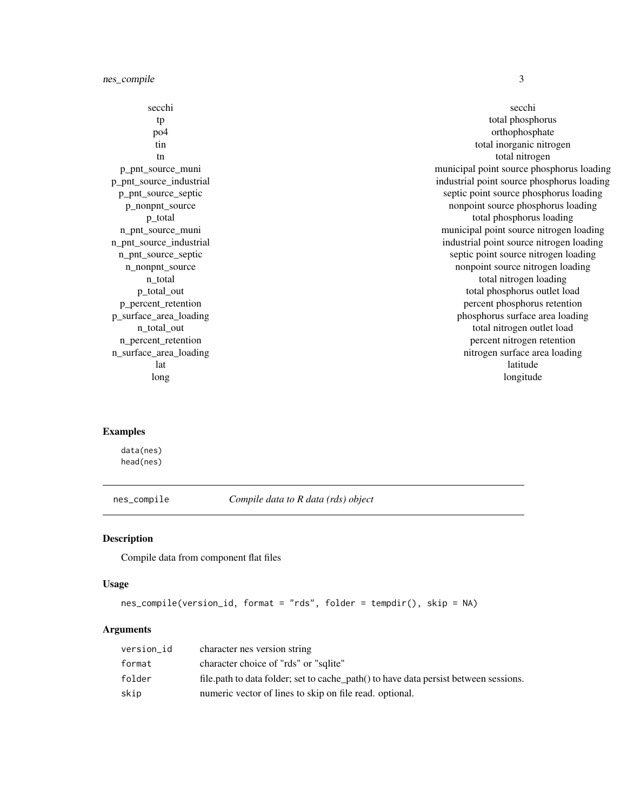<span id="page-2-0"></span>nes\_compile 3

secchi secchi secchi secchi secchi secchi secchi secchi secchi secchi secchi secchi secchi secchi secchi secchi tp total phosphorus milligrams per literature milligrams per literature milligrams per literature milligrams per literature milligrams per literature milligrams per literature milligrams per literature milligrams per liter po4 orthophosphate milligrams per literature milligrams per literature milligrams per literature milligrams per literature milligrams per literature milligrams per literature milligrams per literature milligrams per litera tin total inorganic nitrogen milligrams per literature et al. The total inorganic nitrogen milligrams per literature et al. The total inorganic nitrogen milligrams per literature et al. The total inorganic nitrogen milligr total nitrogen milligrams per literature and the state of the state of the state of the state of the state of the state of the state of the state of the state of the state of the state of the state of the state of the stat p\_pnt\_source\_muni municipal point source phosphorus loading municipal point source phosphorus loading p\_pnt\_source\_industrial industrial industrial point source phosphorus loading point source phosphorus loading p\_pnt\_source\_septic septic septic septic point source phosphorus loading per year. p\_nonpnt\_source nonpoint source nonpoint source phosphorus loading kilograms per year. p\_total total phosphorus loading total phosphorus loading total phosphorus loading total phosphorus loading to n\_pnt\_source\_muni municipal point source nitrogen loading municipal point source nitrogen loading n\_pnt\_source\_industrial industrial industrial point source nitrogen loading kilograms per year. n\_pnt\_source\_septic septic septic point source nitrogen loading kilograms per year. n\_nonpnt\_source nonpoint source nonpoint source nitrogen loading kilograms per year. n\_total total total total nitrogen loading kilograms per year and total nitrogen loading kilograms per year and total nitrogen loading total nitrogen loading total nitrogen loading to the state of the state of the state of p\_total\_out total phosphorus outlet load p\_percent\_retention percent phosphorus retention percent p\_surface\_area\_loading phosphorus surface area loading phosphorus surface area loading n\_total\_out total nitrogen outlet load kilograms per year total nitrogen outlet load kilograms per year total nitrogen outlet load n percent retention percent retention percent retention percent nitrogen retention n\_surface\_area\_loading nitrogen surface area loading nitrogen surface area loading latitude decimal decimal decimal decimal decimal decimal decimal decimal decimal decimal decimal decimal decim long decimal decimal decimal decimal decimal decimal decimal decimal decimal decimal decimal decimal decimal d

#### Examples

data(nes) head(nes)

nes\_compile *Compile data to R data (rds) object*

#### Description

Compile data from component flat files

#### Usage

```
nes_compile(version_id, format = "rds", folder = tempdir(), skip = NA)
```
#### Arguments

| version_id | character nes version string                                                         |
|------------|--------------------------------------------------------------------------------------|
| format     | character choice of "rds" or "sqlite"                                                |
| folder     | file.path to data folder; set to cache_path() to have data persist between sessions. |
| skip       | numeric vector of lines to skip on file read, optional.                              |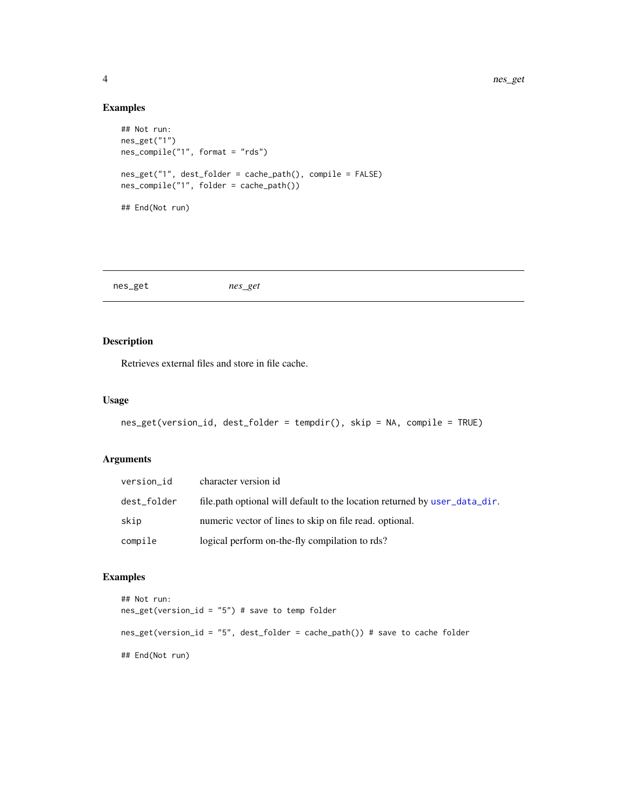#### Examples

```
## Not run:
nes_get("1")
nes_compile("1", format = "rds")
nes_get("1", dest_folder = cache_path(), compile = FALSE)
nes_compile("1", folder = cache_path())
## End(Not run)
```
nes\_get *nes\_get*

#### Description

Retrieves external files and store in file cache.

#### Usage

```
nes_get(version_id, dest_folder = tempdir(), skip = NA, compile = TRUE)
```
#### Arguments

| version_id  | character version id                                                       |
|-------------|----------------------------------------------------------------------------|
| dest_folder | file.path optional will default to the location returned by user_data_dir. |
| skip        | numeric vector of lines to skip on file read, optional.                    |
| compile     | logical perform on-the-fly compilation to rds?                             |

#### Examples

```
## Not run:
nes_get(version_id = "5") # save to temp folder
nes_get(version_id = "5", dest_folder = cache_path()) # save to cache folder
## End(Not run)
```
<span id="page-3-0"></span>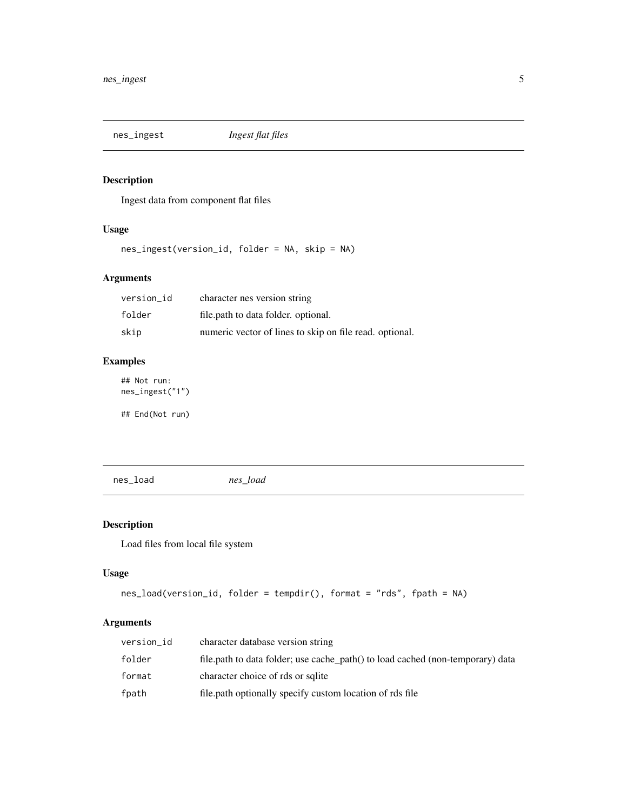<span id="page-4-0"></span>

#### Description

Ingest data from component flat files

#### Usage

nes\_ingest(version\_id, folder = NA, skip = NA)

#### Arguments

| version id | character nes version string                            |
|------------|---------------------------------------------------------|
| folder     | file.path to data folder. optional.                     |
| skip       | numeric vector of lines to skip on file read. optional. |

#### Examples

## Not run: nes\_ingest("1")

## End(Not run)

nes\_load *nes\_load*

#### Description

Load files from local file system

#### Usage

```
nes_load(version_id, folder = tempdir(), format = "rds", fpath = NA)
```
#### Arguments

| version id | character database version string                                              |
|------------|--------------------------------------------------------------------------------|
| folder     | file.path to data folder; use cache_path() to load cached (non-temporary) data |
| format     | character choice of rds or sqlite                                              |
| fpath      | file path optionally specify custom location of rds file                       |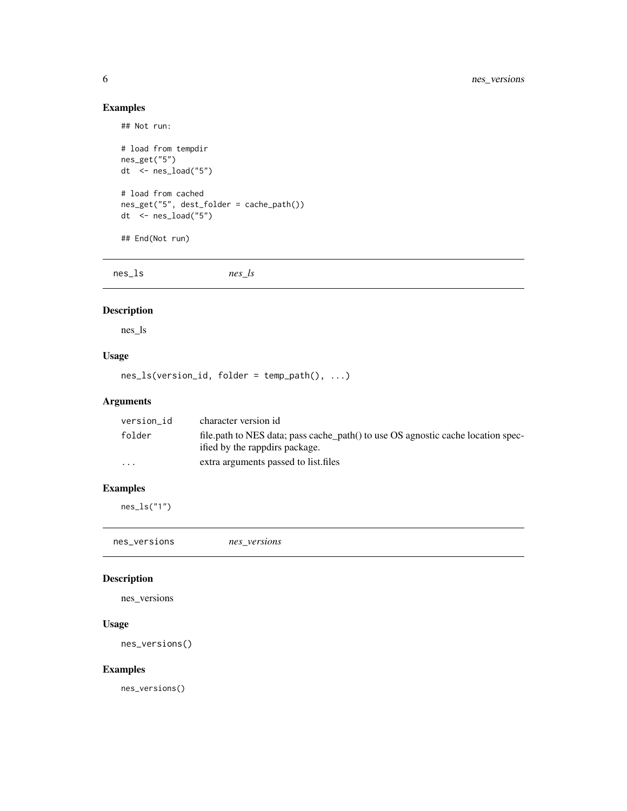#### Examples

```
## Not run:
# load from tempdir
nes_get("5")
dt <- nes_load("5")
# load from cached
nes_get("5", dest_folder = cache_path())
dt \le nes_load("5")
## End(Not run)
```
nes\_ls *nes\_ls*

#### Description

nes\_ls

#### Usage

nes\_ls(version\_id, folder = temp\_path(), ...)

#### Arguments

| version id              | character version id                                                                                               |
|-------------------------|--------------------------------------------------------------------------------------------------------------------|
| folder                  | file path to NES data; pass cache path() to use OS agnostic cache location spec-<br>ified by the rappdirs package. |
| $\cdot$ $\cdot$ $\cdot$ | extra arguments passed to list files                                                                               |

#### Examples

nes\_ls("1")

| the contract of the contract of the contract of the contract of the contract of the contract of the contract of<br>nes_versions<br>nes versions |  |
|-------------------------------------------------------------------------------------------------------------------------------------------------|--|
|-------------------------------------------------------------------------------------------------------------------------------------------------|--|

#### Description

nes\_versions

#### Usage

nes\_versions()

#### Examples

nes\_versions()

<span id="page-5-0"></span>